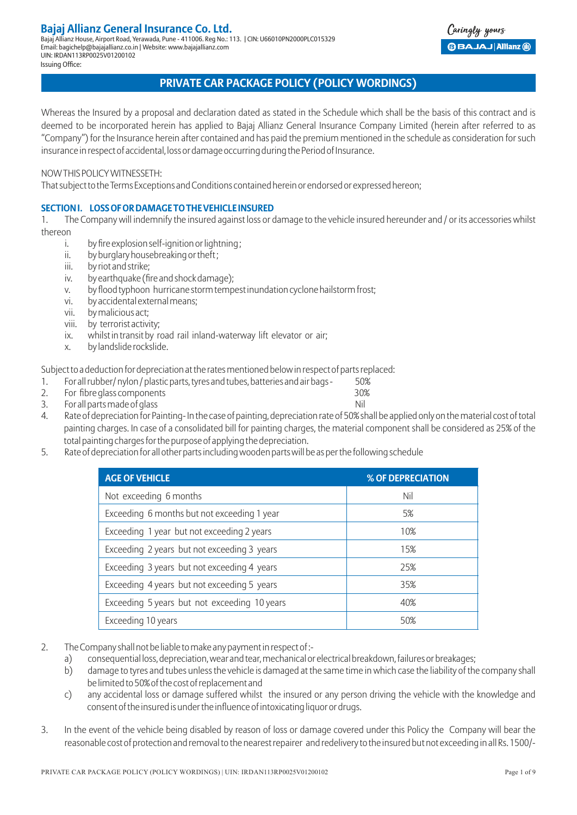## **Bajaj Allianz General Insurance Co. Ltd.**

Bajaj Allianz House, Airport Road, Yerawada, Pune - 411006. Reg No.: 113. | CIN: U66010PN2000PLC015329 Email: bagichelp@bajajallianz.co.in | Website: www.bajajallianz.com UIN: IRDAN113RP0025V01200102 Issuing Office:

### aringly yours **BBAJAJ Allianz (ii)**

### **PRIVATE CAR PACKAGE POLICY (POLICY WORDINGS)**

Whereas the Insured by a proposal and declaration dated as stated in the Schedule which shall be the basis of this contract and is deemed to be incorporated herein has applied to Bajaj Allianz General Insurance Company Limited (herein after referred to as "Company") for the Insurance herein after contained and has paid the premium mentioned in the schedule as consideration for such insurance in respect of accidental, loss or damage occurring during the Period of Insurance.

NOW THIS POLICY WITNESSETH:

That subject to the Terms Exceptions and Conditions contained herein or endorsed or expressed hereon;

### **SECTION I. LOSS OF OR DAMAGE TO THE VEHICLE INSURED**

1. The Company will indemnify the insured against loss or damage to the vehicle insured hereunder and / or its accessories whilst thereon

- i. by fire explosion self-ignition or lightning ;
- ii. by burglary housebreaking or theft;
- iii. by riot and strike;
- iv. by earthquake (fire and shock damage);
- v. by flood typhoon hurricane storm tempest inundation cyclone hailstorm frost;
- vi. by accidental external means;
- vii. by malicious act;
- viii. by terrorist activity;
- ix. whilst in transit by road rail inland-waterway lift elevator or air;
- x. by landslide rockslide.

Subject to a deduction for depreciation at the rates mentioned below in respect of parts replaced:

- 1. For all rubber/ nylon / plastic parts, tyres and tubes, batteries and air bags 50%
- 2. For fibre glass components 30%
- 3. For all parts made of glass Nill and Security and Security and Security and Nill and Security and Nill and Security and Nill and Security and Nill and Security and Nill and Security and Nill and Security and Security an
- 4. Rate of depreciation for Painting- In the case of painting, depreciation rate of 50% shall be applied only on the material cost of total painting charges. In case of a consolidated bill for painting charges, the material component shall be considered as 25% of the total painting charges for the purpose of applying the depreciation.
- 5. Rate of depreciation for all other parts including wooden parts will be as per the following schedule

| <b>AGE OF VEHICLE</b>                        | % OF DEPRECIATION |
|----------------------------------------------|-------------------|
| Not exceeding 6 months                       | Nil               |
| Exceeding 6 months but not exceeding 1 year  | 5%                |
| Exceeding 1 year but not exceeding 2 years   | 10%               |
| Exceeding 2 years but not exceeding 3 years  | 15%               |
| Exceeding 3 years but not exceeding 4 years  | 25%               |
| Exceeding 4 years but not exceeding 5 years  | 35%               |
| Exceeding 5 years but not exceeding 10 years | 40%               |
| Exceeding 10 years                           | 50%               |

- 2. The Company shall not be liable to make any payment in respect of :
	- a) consequential loss, depreciation, wear and tear, mechanical or electrical breakdown, failures or breakages;
	- b) damage to tyres and tubes unless the vehicle is damaged at the same time in which case the liability of the company shall be limited to 50% of the cost of replacement and
	- c) any accidental loss or damage suffered whilst the insured or any person driving the vehicle with the knowledge and consent of the insured is under the influence of intoxicating liquor or drugs.
- 3. In the event of the vehicle being disabled by reason of loss or damage covered under this Policy the Company will bear the reasonable cost of protection and removal to the nearest repairer and redelivery to the insured but not exceeding in all Rs. 1500/-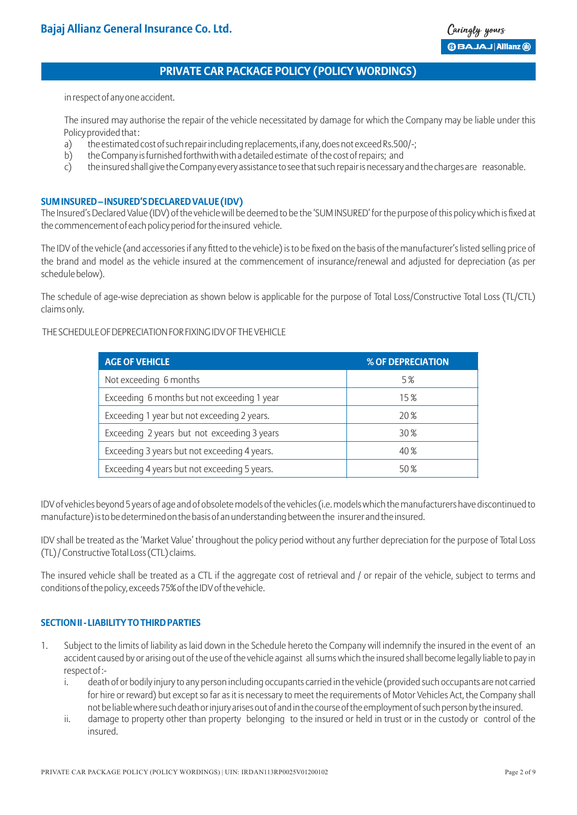in respect of any one accident.

The insured may authorise the repair of the vehicle necessitated by damage for which the Company may be liable under this Policy provided that :

- a) the estimated cost of such repair including replacements, if any, does not exceed Rs.500/-;
- b) the Company is furnished forthwith with a detailed estimate of the cost of repairs; and
- c) the insured shall give the Company every assistance to see that such repair is necessary and the charges are reasonable.

### **SUM INSURED – INSURED'S DECLARED VALUE (IDV)**

The Insured's Declared Value (IDV) of the vehicle will be deemed to be the 'SUM INSURED' for the purpose of this policy which is fixed at the commencement of each policy period for the insured vehicle.

The IDV of the vehicle (and accessories if any fitted to the vehicle) is to be fixed on the basis of the manufacturer's listed selling price of the brand and model as the vehicle insured at the commencement of insurance/renewal and adjusted for depreciation (as per schedule below).

The schedule of age-wise depreciation as shown below is applicable for the purpose of Total Loss/Constructive Total Loss (TL/CTL) claims only.

### THE SCHEDULE OF DEPRECIATION FOR FIXING IDV OF THE VEHICLE

| <b>AGE OF VEHICLE</b>                        | % OF DEPRECIATION |
|----------------------------------------------|-------------------|
| Not exceeding 6 months                       | 5%                |
| Exceeding 6 months but not exceeding 1 year  | 15%               |
| Exceeding 1 year but not exceeding 2 years.  | 20 %              |
| Exceeding 2 years but not exceeding 3 years  | 30 %              |
| Exceeding 3 years but not exceeding 4 years. | 40%               |
| Exceeding 4 years but not exceeding 5 years. | 50%               |

IDV of vehicles beyond 5 years of age and of obsolete models of the vehicles (i.e. models which the manufacturers have discontinued to manufacture) is to be determined on the basis of an understanding between the insurer and the insured.

IDV shall be treated as the 'Market Value' throughout the policy period without any further depreciation for the purpose of Total Loss (TL) / Constructive Total Loss (CTL) claims.

The insured vehicle shall be treated as a CTL if the aggregate cost of retrieval and / or repair of the vehicle, subject to terms and conditions of the policy, exceeds 75% of the IDV of the vehicle.

### **SECTION II - LIABILITY TO THIRD PARTIES**

- 1. Subject to the limits of liability as laid down in the Schedule hereto the Company will indemnify the insured in the event of an accident caused by or arising out of the use of the vehicle against all sums which the insured shall become legally liable to pay in respect of :
	- i. death of or bodily injury to any person including occupants carried in the vehicle (provided such occupants are not carried for hire or reward) but except so far as it is necessary to meet the requirements of Motor Vehicles Act, the Company shall not be liable where such death or injury arises out of and in the course of the employment of such person by the insured.
	- ii. damage to property other than property belonging to the insured or held in trust or in the custody or control of the insured.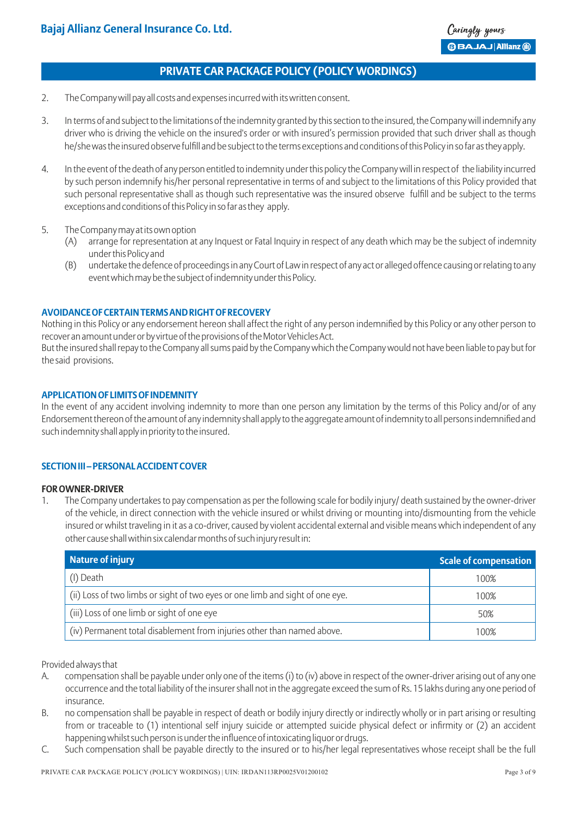- 2. The Company will pay all costs and expenses incurred with its written consent.
- 3. In terms of and subject to the limitations of the indemnity granted by this section to the insured, the Company will indemnify any driver who is driving the vehicle on the insured's order or with insured's permission provided that such driver shall as though he/she was the insured observe fulfill and be subject to the terms exceptions and conditions of this Policy in so far as they apply.
- 4. In the event of the death of any person entitled to indemnity under this policy the Company will in respect of the liability incurred by such person indemnify his/her personal representative in terms of and subject to the limitations of this Policy provided that such personal representative shall as though such representative was the insured observe fulfill and be subject to the terms exceptions and conditions of this Policy in so far as they apply.
- 5. The Company may at its own option
	- (A) arrange for representation at any Inquest or Fatal Inquiry in respect of any death which may be the subject of indemnity under this Policy and
	- (B) undertake the defence of proceedings in any Court of Law in respect of any act or alleged offence causing or relating to any event which may be the subject of indemnity under this Policy.

### **AVOIDANCE OF CERTAIN TERMS AND RIGHT OF RECOVERY**

Nothing in this Policy or any endorsement hereon shall affect the right of any person indemnified by this Policy or any other person to recover an amount under or by virtue of the provisions of the Motor Vehicles Act.

But the insured shall repay to the Company all sums paid by the Company which the Company would not have been liable to pay but for the said provisions.

### **APPLICATION OF LIMITS OF INDEMNITY**

In the event of any accident involving indemnity to more than one person any limitation by the terms of this Policy and/or of any Endorsement thereon of the amount of any indemnity shall apply to the aggregate amount of indemnity to all persons indemnified and such indemnity shall apply in priority to the insured.

### **SECTION III – PERSONAL ACCIDENT COVER**

### **FOR OWNER-DRIVER**

1. The Company undertakes to pay compensation as per the following scale for bodily injury/ death sustained by the owner-driver of the vehicle, in direct connection with the vehicle insured or whilst driving or mounting into/dismounting from the vehicle insured or whilst traveling in it as a co-driver, caused by violent accidental external and visible means which independent of any other cause shall within six calendar months of such injury result in:

| <b>Nature of injury</b>                                                       | <b>Scale of compensation</b> |
|-------------------------------------------------------------------------------|------------------------------|
| (I) Death                                                                     | 100%                         |
| (ii) Loss of two limbs or sight of two eyes or one limb and sight of one eye. | 100%                         |
| (iii) Loss of one limb or sight of one eye                                    | 50%                          |
| (iv) Permanent total disablement from injuries other than named above.        | 100%                         |

Provided always that

- A. compensation shall be payable under only one of the items (i) to (iv) above in respect of the owner-driver arising out of any one occurrence and the total liability of the insurer shall not in the aggregate exceed the sum of Rs. 15 lakhs during any one period of insurance.
- B. no compensation shall be payable in respect of death or bodily injury directly or indirectly wholly or in part arising or resulting from or traceable to (1) intentional self injury suicide or attempted suicide physical defect or infirmity or (2) an accident happening whilst such person is under the influence of intoxicating liquor or drugs.
- C. Such compensation shall be payable directly to the insured or to his/her legal representatives whose receipt shall be the full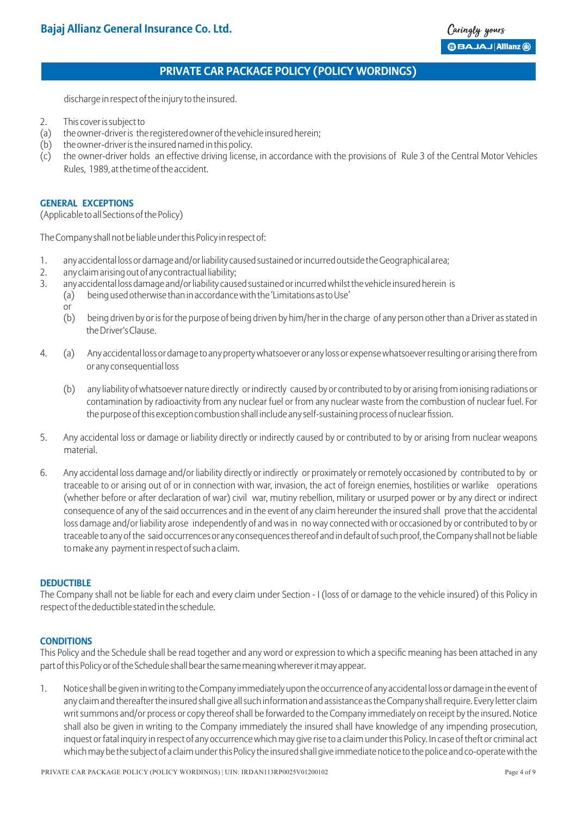discharge in respect of the injury to the insured.

- 2. This cover is subject to
- (a) the owner-driver is the registered owner of the vehicle insured herein;
- $(b)$  the owner-driver is the insured named in this policy.
- (c) the owner-driver holds an effective driving license, in accordance with the provisions of Rule 3 of the Central Motor Vehicles Rules, 1989, at the time of the accident.

#### **GENERAL EXCEPTIONS**

(Applicable to all Sections of the Policy)

The Company shall not be liable under this Policy in respect of:

- 1. any accidental loss or damage and/or liability caused sustained or incurred outside the Geographical area;
- 2. any claim arising out of any contractual liability;
- 3. any accidental loss damage and/or liability caused sustained or incurred whilst the vehicle insured herein is
	- (a) being used otherwise than in accordance with the 'Limitations as to Use'
	- or
	- (b) being driven by or is for the purpose of being driven by him/her in the charge of any person other than a Driver as stated in the Driver's Clause.
- 4. (a) Any accidental loss or damage to any property whatsoever or any loss or expense whatsoever resulting or arising there from or any consequential loss
	- (b) any liability of whatsoever nature directly or indirectly caused by or contributed to by or arising from ionising radiations or contamination by radioactivity from any nuclear fuel or from any nuclear waste from the combustion of nuclear fuel. For the purpose of this exception combustion shall include any self-sustaining process of nuclear fission.
- 5. Any accidental loss or damage or liability directly or indirectly caused by or contributed to by or arising from nuclear weapons material.
- 6. Any accidental loss damage and/or liability directly or indirectly or proximately or remotely occasioned by contributed to by or traceable to or arising out of or in connection with war, invasion, the act of foreign enemies, hostilities or warlike operations (whether before or after declaration of war) civil war, mutiny rebellion, military or usurped power or by any direct or indirect consequence of any of the said occurrences and in the event of any claim hereunder the insured shall prove that the accidental loss damage and/or liability arose independently of and was in no way connected with or occasioned by or contributed to by or traceable to any of the said occurrences or any consequences thereof and in default of such proof, the Company shall not be liable to make any payment in respect of such a claim.

### **DEDUCTIBLE**

The Company shall not be liable for each and every claim under Section - I (loss of or damage to the vehicle insured) of this Policy in respect of the deductible stated in the schedule.

### **CONDITIONS**

This Policy and the Schedule shall be read together and any word or expression to which a specific meaning has been attached in any part of this Policy or of the Schedule shall bear the same meaning wherever it may appear.

1. Notice shall be given in writing to the Company immediately upon the occurrence of any accidental loss or damage in the event of any claim and thereafter the insured shall give all such information and assistance as the Company shall require. Every letter claim writ summons and/or process or copy thereof shall be forwarded to the Company immediately on receipt by the insured. Notice shall also be given in writing to the Company immediately the insured shall have knowledge of any impending prosecution, inquest or fatal inquiry in respect of any occurrence which may give rise to a claim under this Policy. In case of theft or criminal act which may be the subject of a claim under this Policy the insured shall give immediate notice to the police and co-operate with the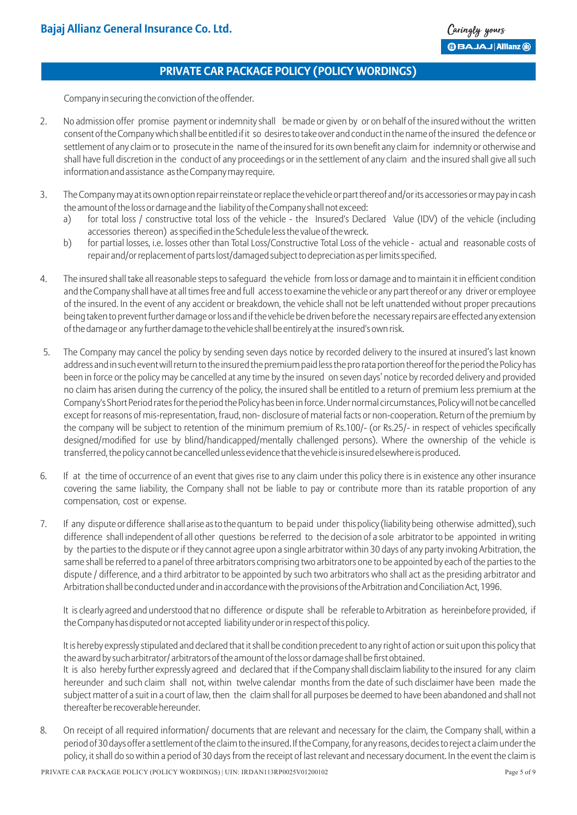Company in securing the conviction of the offender.

- 2. No admission offer promise payment or indemnity shall be made or given by or on behalf of the insured without the written consent of the Company which shall be entitled if it so desires to take over and conduct in the name of the insured the defence or settlement of any claim or to prosecute in the name of the insured for its own benefit any claim for indemnity or otherwise and shall have full discretion in the conduct of any proceedings or in the settlement of any claim and the insured shall give all such information and assistance as the Company may require.
- 3. The Company may at its own option repair reinstate or replace the vehicle or part thereof and/or its accessories or may pay in cash the amount of the loss or damage and the liability of the Company shall not exceed:
	- a) for total loss / constructive total loss of the vehicle the Insured's Declared Value (IDV) of the vehicle (including accessories thereon) as specified in the Schedule less the value of the wreck.
	- b) for partial losses, i.e. losses other than Total Loss/Constructive Total Loss of the vehicle actual and reasonable costs of repair and/or replacement of parts lost/damaged subject to depreciation as per limits specified.
- 4. The insured shall take all reasonable steps to safeguard the vehicle from loss or damage and to maintain it in efficient condition and the Company shall have at all times free and full access to examine the vehicle or any part thereof or any driver or employee of the insured. In the event of any accident or breakdown, the vehicle shall not be left unattended without proper precautions being taken to prevent further damage or loss and if the vehicle be driven before the necessary repairs are effected any extension of the damage or any further damage to the vehicle shall be entirely at the insured's own risk.
- 5. The Company may cancel the policy by sending seven days notice by recorded delivery to the insured at insured's last known address and in such event will return to the insured the premium paid less the pro rata portion thereof for the period the Policy has been in force or the policy may be cancelled at any time by the insured on seven days' notice by recorded delivery and provided no claim has arisen during the currency of the policy, the insured shall be entitled to a return of premium less premium at the Company's Short Period rates for the period the Policy has been in force. Under normal circumstances, Policy will not be cancelled except for reasons of mis-representation, fraud, non- disclosure of material facts or non-cooperation. Return of the premium by the company will be subject to retention of the minimum premium of Rs.100/- (or Rs.25/- in respect of vehicles specifically designed/modified for use by blind/handicapped/mentally challenged persons). Where the ownership of the vehicle is transferred, the policy cannot be cancelled unless evidence that the vehicle is insured elsewhere is produced.
- 6. If at the time of occurrence of an event that gives rise to any claim under this policy there is in existence any other insurance covering the same liability, the Company shall not be liable to pay or contribute more than its ratable proportion of any compensation, cost or expense.
- 7. If any dispute or difference shall arise as to the quantum to be paid under this policy (liability being otherwise admitted), such difference shall independent of all other questions be referred to the decision of a sole arbitrator to be appointed in writing by the parties to the dispute or if they cannot agree upon a single arbitrator within 30 days of any party invoking Arbitration, the same shall be referred to a panel of three arbitrators comprising two arbitrators one to be appointed by each of the parties to the dispute / difference, and a third arbitrator to be appointed by such two arbitrators who shall act as the presiding arbitrator and Arbitration shall be conducted under and in accordance with the provisions of the Arbitration and Conciliation Act, 1996.

It is clearly agreed and understood that no difference or dispute shall be referable to Arbitration as hereinbefore provided, if the Company has disputed or not accepted liability under or in respect of this policy.

It is hereby expressly stipulated and declared that it shall be condition precedent to any right of action or suit upon this policy that the award by such arbitrator/ arbitrators of the amount of the loss or damage shall be first obtained. It is also hereby further expressly agreed and declared that if the Company shall disclaim liability to the insured for any claim

- hereunder and such claim shall not, within twelve calendar months from the date of such disclaimer have been made the subject matter of a suit in a court of law, then the claim shall for all purposes be deemed to have been abandoned and shall not thereafter be recoverable hereunder.
- 8. On receipt of all required information/ documents that are relevant and necessary for the claim, the Company shall, within a period of 30 days offer a settlement of the claim to the insured. If the Company, for any reasons, decides to reject a claim under the policy, it shall do so within a period of 30 days from the receipt of last relevant and necessary document. In the event the claim is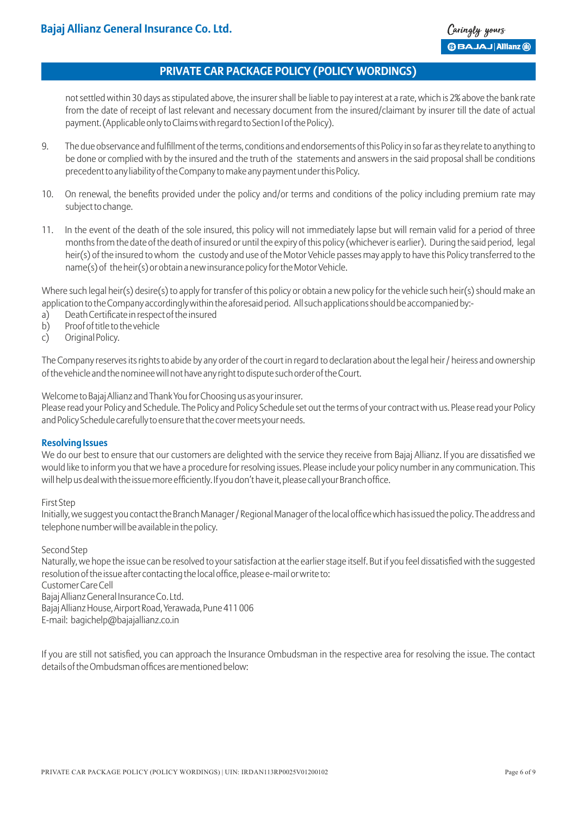not settled within 30 days as stipulated above, the insurer shall be liable to pay interest at a rate, which is 2% above the bank rate from the date of receipt of last relevant and necessary document from the insured/claimant by insurer till the date of actual payment. (Applicable only to Claims with regard to Section I of the Policy).

- 9. The due observance and fulfillment of the terms, conditions and endorsements of this Policy in so far as they relate to anything to be done or complied with by the insured and the truth of the statements and answers in the said proposal shall be conditions precedent to any liability of the Company to make any payment under this Policy.
- 10. On renewal, the benefits provided under the policy and/or terms and conditions of the policy including premium rate may subject to change.
- 11. In the event of the death of the sole insured, this policy will not immediately lapse but will remain valid for a period of three months from the date of the death of insured or until the expiry of this policy (whichever is earlier). During the said period, legal heir(s) of the insured to whom the custody and use of the Motor Vehicle passes may apply to have this Policy transferred to the name(s) of the heir(s) or obtain a new insurance policy for the Motor Vehicle.

Where such legal heir(s) desire(s) to apply for transfer of this policy or obtain a new policy for the vehicle such heir(s) should make an application to the Company accordingly within the aforesaid period. All such applications should be accompanied by:-

- a) Death Certificate in respect of the insured
- b) Proof of title to the vehicle
- c) Original Policy.

The Company reserves its rights to abide by any order of the court in regard to declaration about the legal heir / heiress and ownership of the vehicle and the nominee will not have any right to dispute such order of the Court.

Welcome to Bajaj Allianz and Thank You for Choosing us as your insurer.

Please read your Policy and Schedule. The Policy and Policy Schedule set out the terms of your contract with us. Please read your Policy and Policy Schedule carefully to ensure that the cover meets your needs.

### **Resolving Issues**

We do our best to ensure that our customers are delighted with the service they receive from Bajaj Allianz. If you are dissatisfied we would like to inform you that we have a procedure for resolving issues. Please include your policy number in any communication. This will help us deal with the issue more efficiently. If you don't have it, please call your Branch office.

### First Step

Initially, we suggest you contact the Branch Manager / Regional Manager of the local office which has issued the policy. The address and telephone number will be available in the policy.

### Second Step

Naturally, we hope the issue can be resolved to your satisfaction at the earlier stage itself. But if you feel dissatisfied with the suggested resolution of the issue after contacting the local office, please e-mail or write to:

Customer Care Cell

Bajaj Allianz General Insurance Co. Ltd.

Bajaj Allianz House, Airport Road, Yerawada, Pune 411 006

E-mail: bagichelp@bajajallianz.co.in

If you are still not satisfied, you can approach the Insurance Ombudsman in the respective area for resolving the issue. The contact details of the Ombudsman offices are mentioned below: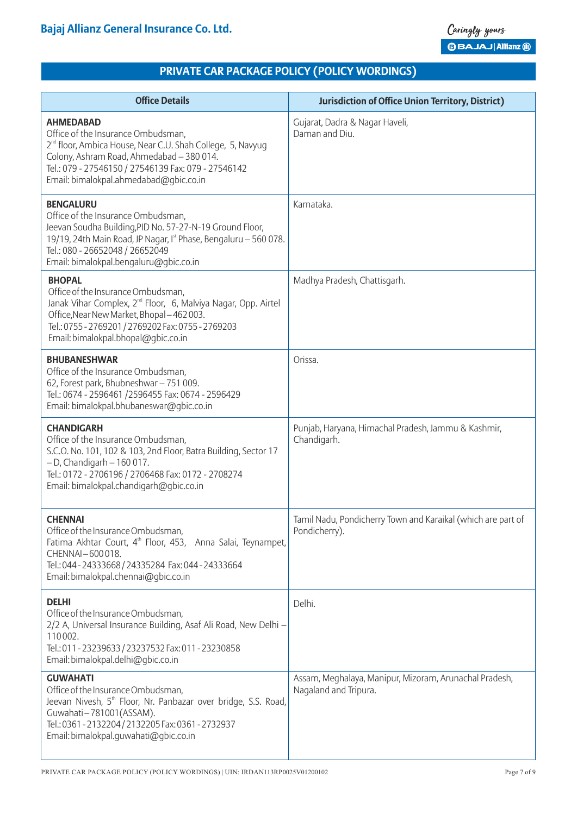| <b>Office Details</b>                                                                                                                                                                                                                                                          | <b>Jurisdiction of Office Union Territory, District)</b>                        |
|--------------------------------------------------------------------------------------------------------------------------------------------------------------------------------------------------------------------------------------------------------------------------------|---------------------------------------------------------------------------------|
| <b>AHMEDABAD</b><br>Office of the Insurance Ombudsman,<br>2 <sup>nd</sup> floor, Ambica House, Near C.U. Shah College, 5, Navyug<br>Colony, Ashram Road, Ahmedabad - 380 014.<br>Tel.: 079 - 27546150 / 27546139 Fax: 079 - 27546142<br>Email: bimalokpal.ahmedabad@gbic.co.in | Gujarat, Dadra & Nagar Haveli,<br>Daman and Diu.                                |
| <b>BENGALURU</b><br>Office of the Insurance Ombudsman,<br>Jeevan Soudha Building, PID No. 57-27-N-19 Ground Floor,<br>19/19, 24th Main Road, JP Nagar, Ist Phase, Bengaluru - 560 078.<br>Tel.: 080 - 26652048 / 26652049<br>Email: bimalokpal.bengaluru@gbic.co.in            | Karnataka.                                                                      |
| <b>BHOPAL</b><br>Office of the Insurance Ombudsman,<br>Janak Vihar Complex, 2 <sup>nd</sup> Floor, 6, Malviya Nagar, Opp. Airtel<br>Office, Near New Market, Bhopal-462003.<br>Tel.: 0755 - 2769201 / 2769202 Fax: 0755 - 2769203<br>Email: bimalokpal.bhopal@gbic.co.in       | Madhya Pradesh, Chattisgarh.                                                    |
| <b>BHUBANESHWAR</b><br>Office of the Insurance Ombudsman,<br>62, Forest park, Bhubneshwar - 751 009.<br>Tel.: 0674 - 2596461 /2596455 Fax: 0674 - 2596429<br>Email: bimalokpal.bhubaneswar@gbic.co.in                                                                          | Orissa.                                                                         |
| <b>CHANDIGARH</b><br>Office of the Insurance Ombudsman,<br>S.C.O. No. 101, 102 & 103, 2nd Floor, Batra Building, Sector 17<br>$-$ D, Chandigarh $-$ 160 017.<br>Tel.: 0172 - 2706196 / 2706468 Fax: 0172 - 2708274<br>Email: bimalokpal.chandigarh@gbic.co.in                  | Punjab, Haryana, Himachal Pradesh, Jammu & Kashmir,<br>Chandigarh.              |
| <b>CHENNAI</b><br>Office of the Insurance Ombudsman,<br>Fatima Akhtar Court, 4 <sup>th</sup> Floor, 453, Anna Salai, Teynampet,<br>CHENNAI-600018.<br>Tel.: 044 - 24333668 / 24335284 Fax: 044 - 24333664<br>Email: bimalokpal.chennai@qbic.co.in                              | Tamil Nadu, Pondicherry Town and Karaikal (which are part of<br>Pondicherry).   |
| <b>DELHI</b><br>Office of the Insurance Ombudsman,<br>2/2 A, Universal Insurance Building, Asaf Ali Road, New Delhi -<br>110002.<br>Tel.: 011 - 23239633 / 23237532 Fax: 011 - 23230858<br>Email: bimalokpal.delhi@gbic.co.in                                                  | Delhi.                                                                          |
| <b>GUWAHATI</b><br>Office of the Insurance Ombudsman,<br>Jeevan Nivesh, 5 <sup>th</sup> Floor, Nr. Panbazar over bridge, S.S. Road,<br>Guwahati-781001(ASSAM).<br>Tel.: 0361 - 2132204 / 2132205 Fax: 0361 - 2732937<br>Email: bimalokpal.guwahati@gbic.co.in                  | Assam, Meghalaya, Manipur, Mizoram, Arunachal Pradesh,<br>Nagaland and Tripura. |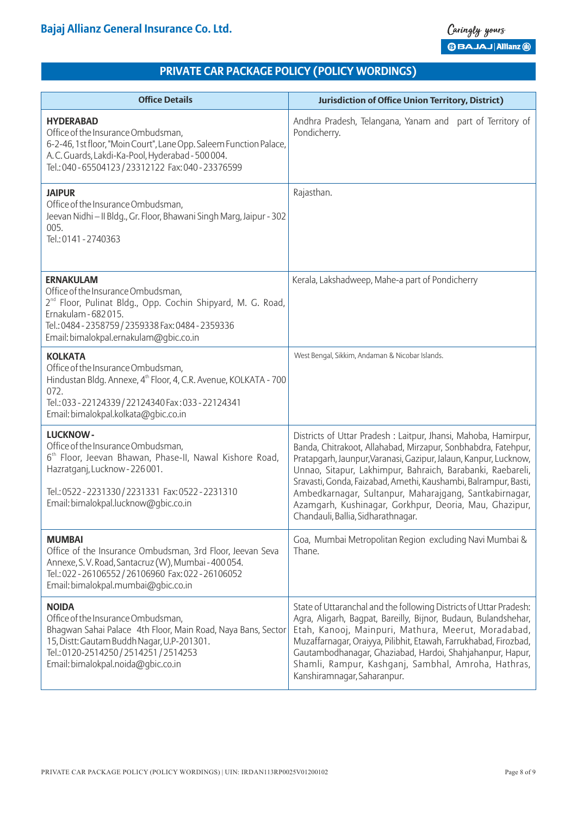| <b>Office Details</b>                                                                                                                                                                                                                                        | <b>Jurisdiction of Office Union Territory, District)</b>                                                                                                                                                                                                                                                                                                                                                                                                                                        |
|--------------------------------------------------------------------------------------------------------------------------------------------------------------------------------------------------------------------------------------------------------------|-------------------------------------------------------------------------------------------------------------------------------------------------------------------------------------------------------------------------------------------------------------------------------------------------------------------------------------------------------------------------------------------------------------------------------------------------------------------------------------------------|
| <b>HYDERABAD</b><br>Office of the Insurance Ombudsman,<br>6-2-46, 1st floor, "Moin Court", Lane Opp. Saleem Function Palace,<br>A.C. Guards, Lakdi-Ka-Pool, Hyderabad - 500 004.<br>Tel.: 040 - 65504123 / 23312122 Fax: 040 - 23376599                      | Andhra Pradesh, Telangana, Yanam and part of Territory of<br>Pondicherry.                                                                                                                                                                                                                                                                                                                                                                                                                       |
| <b>JAIPUR</b><br>Office of the Insurance Ombudsman,<br>Jeevan Nidhi - II Bldg., Gr. Floor, Bhawani Singh Marg, Jaipur - 302<br>005.<br>Tel.: 0141 - 2740363                                                                                                  | Rajasthan.                                                                                                                                                                                                                                                                                                                                                                                                                                                                                      |
| <b>ERNAKULAM</b><br>Office of the Insurance Ombudsman,<br>2 <sup>nd</sup> Floor, Pulinat Bldg., Opp. Cochin Shipyard, M. G. Road,<br>Ernakulam - 682 015.<br>Tel.: 0484 - 2358759 / 2359338 Fax: 0484 - 2359336<br>Email: bimalokpal.ernakulam@gbic.co.in    | Kerala, Lakshadweep, Mahe-a part of Pondicherry                                                                                                                                                                                                                                                                                                                                                                                                                                                 |
| <b>KOLKATA</b><br>Office of the Insurance Ombudsman,<br>Hindustan Bldg. Annexe, 4 <sup>th</sup> Floor, 4, C.R. Avenue, KOLKATA - 700<br>072.<br>Tel.: 033 - 22124339 / 22124340 Fax: 033 - 22124341<br>Email: bimalokpal.kolkata@gbic.co.in                  | West Bengal, Sikkim, Andaman & Nicobar Islands.                                                                                                                                                                                                                                                                                                                                                                                                                                                 |
| <b>LUCKNOW-</b><br>Office of the Insurance Ombudsman,<br>6 <sup>th</sup> Floor, Jeevan Bhawan, Phase-II, Nawal Kishore Road,<br>Hazratganj, Lucknow - 226 001.<br>Tel.: 0522 - 2231330 / 2231331 Fax: 0522 - 2231310<br>Email: bimalokpal.lucknow@qbic.co.in | Districts of Uttar Pradesh : Laitpur, Jhansi, Mahoba, Hamirpur,<br>Banda, Chitrakoot, Allahabad, Mirzapur, Sonbhabdra, Fatehpur,<br>Pratapgarh, Jaunpur, Varanasi, Gazipur, Jalaun, Kanpur, Lucknow,<br>Unnao, Sitapur, Lakhimpur, Bahraich, Barabanki, Raebareli,<br>Sravasti, Gonda, Faizabad, Amethi, Kaushambi, Balrampur, Basti,<br>Ambedkarnagar, Sultanpur, Maharajgang, Santkabirnagar,<br>Azamgarh, Kushinagar, Gorkhpur, Deoria, Mau, Ghazipur,<br>Chandauli, Ballia, Sidharathnagar. |
| <b>MUMBAI</b><br>Office of the Insurance Ombudsman, 3rd Floor, Jeevan Seva<br>Annexe, S.V. Road, Santacruz (W), Mumbai - 400 054.<br>Tel.: 022 - 26106552 / 26106960 Fax: 022 - 26106052<br>Email: bimalokpal.mumbai@gbic.co.in                              | Goa, Mumbai Metropolitan Region excluding Navi Mumbai &<br>Thane.                                                                                                                                                                                                                                                                                                                                                                                                                               |
| <b>NOIDA</b><br>Office of the Insurance Ombudsman,<br>Bhagwan Sahai Palace 4th Floor, Main Road, Naya Bans, Sector<br>15, Distt: Gautam Buddh Nagar, U.P-201301.<br>Tel.: 0120-2514250 / 2514251 / 2514253<br>Email: bimalokpal.noida@gbic.co.in             | State of Uttaranchal and the following Districts of Uttar Pradesh:<br>Agra, Aligarh, Bagpat, Bareilly, Bijnor, Budaun, Bulandshehar,<br>Etah, Kanooj, Mainpuri, Mathura, Meerut, Moradabad,<br>Muzaffarnagar, Oraiyya, Pilibhit, Etawah, Farrukhabad, Firozbad,<br>Gautambodhanagar, Ghaziabad, Hardoi, Shahjahanpur, Hapur,<br>Shamli, Rampur, Kashganj, Sambhal, Amroha, Hathras,<br>Kanshiramnagar, Saharanpur.                                                                              |